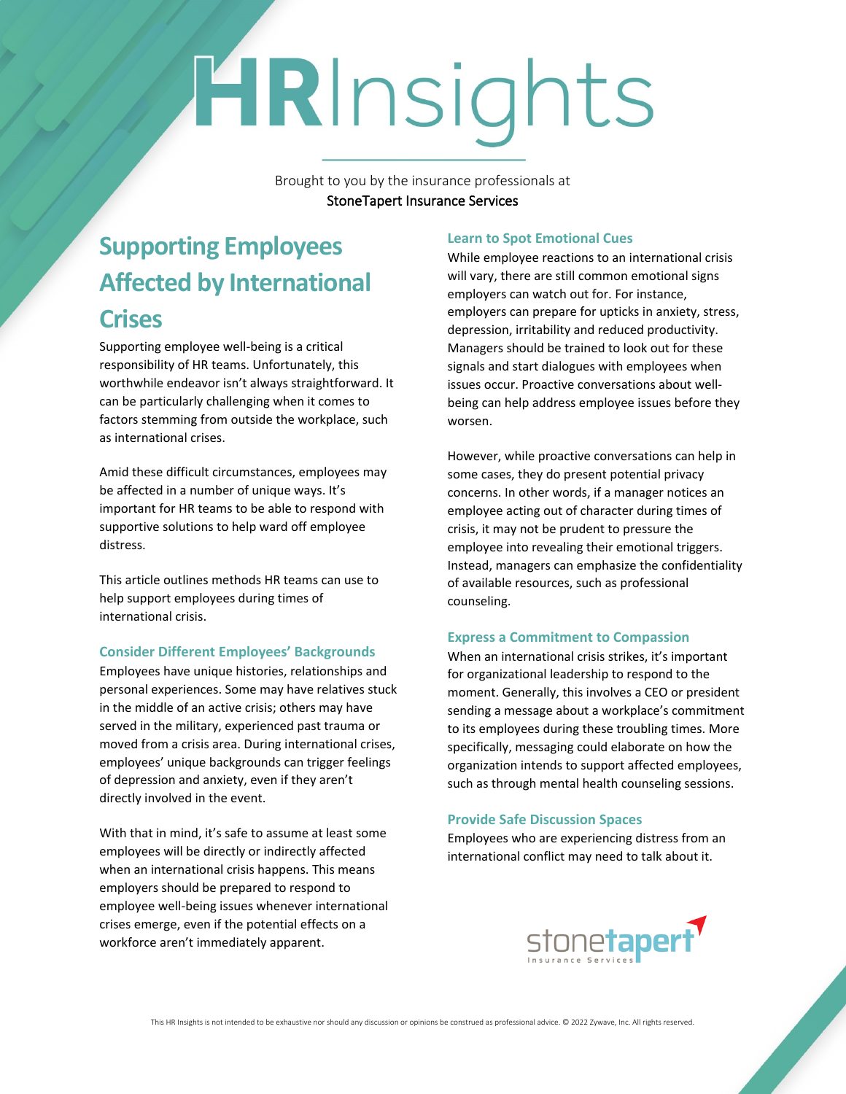# HRInsights

Brought to you by the insurance professionals at **StoneTapert Insurance Services**

## **Supporting Employees Affected by International Crises**

Supporting employee well-being is a critical responsibility of HR teams. Unfortunately, this worthwhile endeavor isn't always straightforward. It can be particularly challenging when it comes to factors stemming from outside the workplace, such as international crises.

Amid these difficult circumstances, employees may be affected in a number of unique ways. It's important for HR teams to be able to respond with supportive solutions to help ward off employee distress.

This article outlines methods HR teams can use to help support employees during times of international crisis.

#### **Consider Different Employees' Backgrounds**

Employees have unique histories, relationships and personal experiences. Some may have relatives stuck in the middle of an active crisis; others may have served in the military, experienced past trauma or moved from a crisis area. During international crises, employees' unique backgrounds can trigger feelings of depression and anxiety, even if they aren't directly involved in the event.

With that in mind, it's safe to assume at least some employees will be directly or indirectly affected when an international crisis happens. This means employers should be prepared to respond to employee well-being issues whenever international crises emerge, even if the potential effects on a workforce aren't immediately apparent.

### **Learn to Spot Emotional Cues**

While employee reactions to an international crisis will vary, there are still common emotional signs employers can watch out for. For instance, employers can prepare for upticks in anxiety, stress, depression, irritability and reduced productivity. Managers should be trained to look out for these signals and start dialogues with employees when issues occur. Proactive conversations about wellbeing can help address employee issues before they worsen.

However, while proactive conversations can help in some cases, they do present potential privacy concerns. In other words, if a manager notices an employee acting out of character during times of crisis, it may not be prudent to pressure the employee into revealing their emotional triggers. Instead, managers can emphasize the confidentiality of available resources, such as professional counseling.

#### **Express a Commitment to Compassion**

When an international crisis strikes, it's important for organizational leadership to respond to the moment. Generally, this involves a CEO or president sending a message about a workplace's commitment to its employees during these troubling times. More specifically, messaging could elaborate on how the organization intends to support affected employees, such as through mental health counseling sessions.

#### **Provide Safe Discussion Spaces**

Employees who are experiencing distress from an international conflict may need to talk about it.